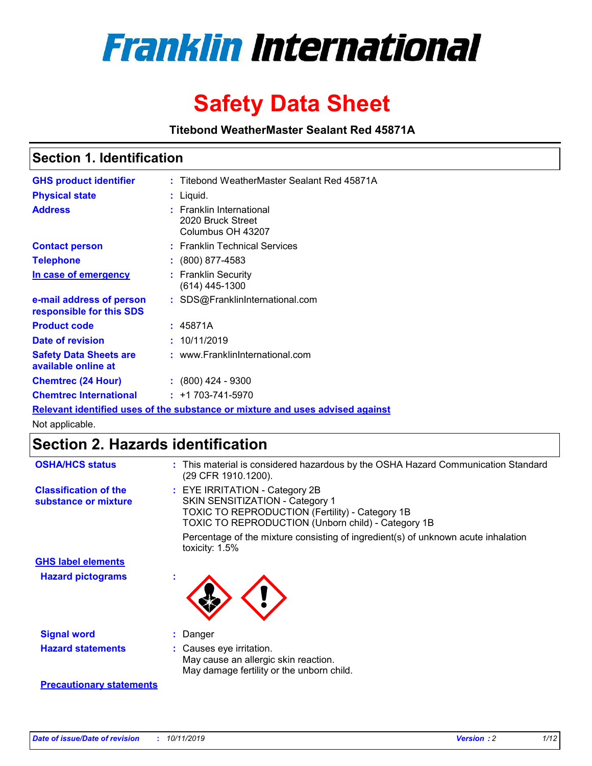

# **Safety Data Sheet**

**Titebond WeatherMaster Sealant Red 45871A**

### **Section 1. Identification**

| <b>GHS product identifier</b>                        | : Titebond WeatherMaster Sealant Red 45871A                                   |
|------------------------------------------------------|-------------------------------------------------------------------------------|
| <b>Physical state</b>                                | : Liquid.                                                                     |
| <b>Address</b>                                       | : Franklin International<br>2020 Bruck Street<br>Columbus OH 43207            |
| <b>Contact person</b>                                | : Franklin Technical Services                                                 |
| <b>Telephone</b>                                     | $\div$ (800) 877-4583                                                         |
| In case of emergency                                 | : Franklin Security<br>(614) 445-1300                                         |
| e-mail address of person<br>responsible for this SDS | : SDS@FranklinInternational.com                                               |
| <b>Product code</b>                                  | : 45871A                                                                      |
| Date of revision                                     | : 10/11/2019                                                                  |
| <b>Safety Data Sheets are</b><br>available online at | : www.FranklinInternational.com                                               |
| <b>Chemtrec (24 Hour)</b>                            | $\div$ (800) 424 - 9300                                                       |
| <b>Chemtrec International</b>                        | $: +1703 - 741 - 5970$                                                        |
|                                                      | Relevant identified uses of the substance or mixture and uses advised against |

Not applicable.

## **Section 2. Hazards identification**

| <b>OSHA/HCS status</b>                               | : This material is considered hazardous by the OSHA Hazard Communication Standard<br>(29 CFR 1910.1200).                                                                                 |
|------------------------------------------------------|------------------------------------------------------------------------------------------------------------------------------------------------------------------------------------------|
| <b>Classification of the</b><br>substance or mixture | : EYE IRRITATION - Category 2B<br>SKIN SENSITIZATION - Category 1<br><b>TOXIC TO REPRODUCTION (Fertility) - Category 1B</b><br><b>TOXIC TO REPRODUCTION (Unborn child) - Category 1B</b> |
|                                                      | Percentage of the mixture consisting of ingredient(s) of unknown acute inhalation<br>toxicity: $1.5\%$                                                                                   |
| <b>GHS label elements</b>                            |                                                                                                                                                                                          |
| <b>Hazard pictograms</b>                             |                                                                                                                                                                                          |
| <b>Signal word</b>                                   | : Danger                                                                                                                                                                                 |
| <b>Hazard statements</b>                             | : Causes eye irritation.<br>May cause an allergic skin reaction.<br>May damage fertility or the unborn child.                                                                            |
| <b>Precautionary statements</b>                      |                                                                                                                                                                                          |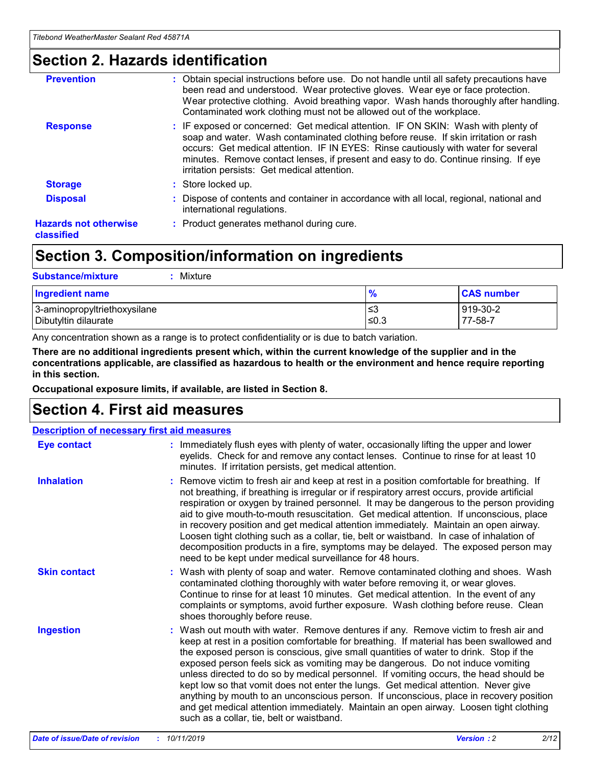### **Section 2. Hazards identification**

| <b>Prevention</b>                          | : Obtain special instructions before use. Do not handle until all safety precautions have<br>been read and understood. Wear protective gloves. Wear eye or face protection.<br>Wear protective clothing. Avoid breathing vapor. Wash hands thoroughly after handling.<br>Contaminated work clothing must not be allowed out of the workplace.                                                        |
|--------------------------------------------|------------------------------------------------------------------------------------------------------------------------------------------------------------------------------------------------------------------------------------------------------------------------------------------------------------------------------------------------------------------------------------------------------|
| <b>Response</b>                            | : IF exposed or concerned: Get medical attention. IF ON SKIN: Wash with plenty of<br>soap and water. Wash contaminated clothing before reuse. If skin irritation or rash<br>occurs: Get medical attention. IF IN EYES: Rinse cautiously with water for several<br>minutes. Remove contact lenses, if present and easy to do. Continue rinsing. If eye<br>irritation persists: Get medical attention. |
| <b>Storage</b>                             | : Store locked up.                                                                                                                                                                                                                                                                                                                                                                                   |
| <b>Disposal</b>                            | : Dispose of contents and container in accordance with all local, regional, national and<br>international regulations.                                                                                                                                                                                                                                                                               |
| <b>Hazards not otherwise</b><br>classified | : Product generates methanol during cure.                                                                                                                                                                                                                                                                                                                                                            |
|                                            |                                                                                                                                                                                                                                                                                                                                                                                                      |

## **Section 3. Composition/information on ingredients**

| <b>Substance/mixture</b><br>Mixture                  |                   |                     |
|------------------------------------------------------|-------------------|---------------------|
| <b>Ingredient name</b>                               | $\frac{9}{6}$     | <b>CAS number</b>   |
| 3-aminopropyltriethoxysilane<br>Dibutyltin dilaurate | l≤3<br>$\leq 0.3$ | 919-30-2<br>77-58-7 |

Any concentration shown as a range is to protect confidentiality or is due to batch variation.

**There are no additional ingredients present which, within the current knowledge of the supplier and in the concentrations applicable, are classified as hazardous to health or the environment and hence require reporting in this section.**

**Occupational exposure limits, if available, are listed in Section 8.**

### **Section 4. First aid measures**

| <b>Description of necessary first aid measures</b> |                                                                                                                                                                                                                                                                                                                                                                                                                                                                                                                                                                                                                                                                                                                                                                           |  |  |  |
|----------------------------------------------------|---------------------------------------------------------------------------------------------------------------------------------------------------------------------------------------------------------------------------------------------------------------------------------------------------------------------------------------------------------------------------------------------------------------------------------------------------------------------------------------------------------------------------------------------------------------------------------------------------------------------------------------------------------------------------------------------------------------------------------------------------------------------------|--|--|--|
| <b>Eye contact</b>                                 | : Immediately flush eyes with plenty of water, occasionally lifting the upper and lower<br>eyelids. Check for and remove any contact lenses. Continue to rinse for at least 10<br>minutes. If irritation persists, get medical attention.                                                                                                                                                                                                                                                                                                                                                                                                                                                                                                                                 |  |  |  |
| <b>Inhalation</b>                                  | : Remove victim to fresh air and keep at rest in a position comfortable for breathing. If<br>not breathing, if breathing is irregular or if respiratory arrest occurs, provide artificial<br>respiration or oxygen by trained personnel. It may be dangerous to the person providing<br>aid to give mouth-to-mouth resuscitation. Get medical attention. If unconscious, place<br>in recovery position and get medical attention immediately. Maintain an open airway.<br>Loosen tight clothing such as a collar, tie, belt or waistband. In case of inhalation of<br>decomposition products in a fire, symptoms may be delayed. The exposed person may<br>need to be kept under medical surveillance for 48 hours.                                                       |  |  |  |
| <b>Skin contact</b>                                | : Wash with plenty of soap and water. Remove contaminated clothing and shoes. Wash<br>contaminated clothing thoroughly with water before removing it, or wear gloves.<br>Continue to rinse for at least 10 minutes. Get medical attention. In the event of any<br>complaints or symptoms, avoid further exposure. Wash clothing before reuse. Clean<br>shoes thoroughly before reuse.                                                                                                                                                                                                                                                                                                                                                                                     |  |  |  |
| <b>Ingestion</b>                                   | : Wash out mouth with water. Remove dentures if any. Remove victim to fresh air and<br>keep at rest in a position comfortable for breathing. If material has been swallowed and<br>the exposed person is conscious, give small quantities of water to drink. Stop if the<br>exposed person feels sick as vomiting may be dangerous. Do not induce vomiting<br>unless directed to do so by medical personnel. If vomiting occurs, the head should be<br>kept low so that vomit does not enter the lungs. Get medical attention. Never give<br>anything by mouth to an unconscious person. If unconscious, place in recovery position<br>and get medical attention immediately. Maintain an open airway. Loosen tight clothing<br>such as a collar, tie, belt or waistband. |  |  |  |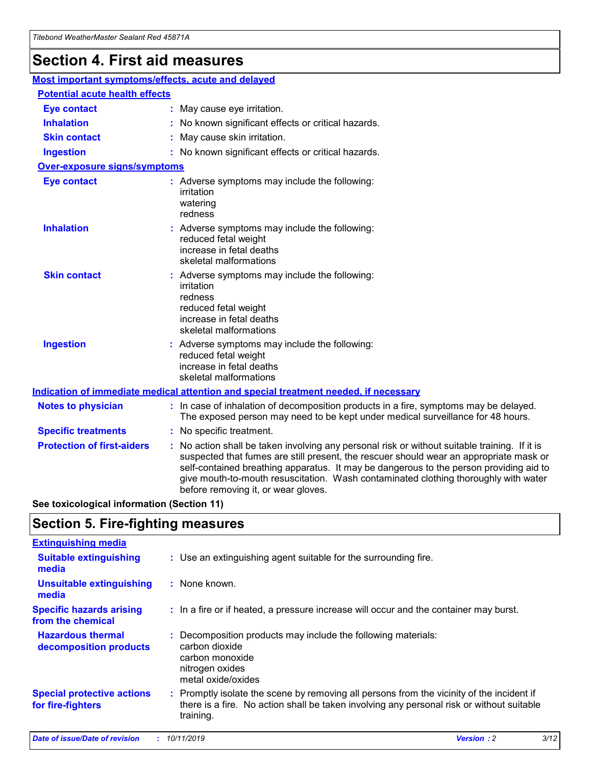## **Section 4. First aid measures**

| Most important symptoms/effects, acute and delayed |                                       |                                                                                                                                                                                                                                                                                                                                                                                                                 |  |  |  |
|----------------------------------------------------|---------------------------------------|-----------------------------------------------------------------------------------------------------------------------------------------------------------------------------------------------------------------------------------------------------------------------------------------------------------------------------------------------------------------------------------------------------------------|--|--|--|
|                                                    | <b>Potential acute health effects</b> |                                                                                                                                                                                                                                                                                                                                                                                                                 |  |  |  |
| <b>Eye contact</b>                                 |                                       | : May cause eye irritation.                                                                                                                                                                                                                                                                                                                                                                                     |  |  |  |
| <b>Inhalation</b>                                  |                                       | : No known significant effects or critical hazards.                                                                                                                                                                                                                                                                                                                                                             |  |  |  |
| <b>Skin contact</b>                                |                                       | : May cause skin irritation.                                                                                                                                                                                                                                                                                                                                                                                    |  |  |  |
| <b>Ingestion</b>                                   |                                       | : No known significant effects or critical hazards.                                                                                                                                                                                                                                                                                                                                                             |  |  |  |
| Over-exposure signs/symptoms                       |                                       |                                                                                                                                                                                                                                                                                                                                                                                                                 |  |  |  |
| <b>Eye contact</b>                                 |                                       | : Adverse symptoms may include the following:<br>irritation<br>watering<br>redness                                                                                                                                                                                                                                                                                                                              |  |  |  |
| <b>Inhalation</b>                                  |                                       | : Adverse symptoms may include the following:<br>reduced fetal weight<br>increase in fetal deaths<br>skeletal malformations                                                                                                                                                                                                                                                                                     |  |  |  |
| <b>Skin contact</b>                                |                                       | : Adverse symptoms may include the following:<br>irritation<br>redness<br>reduced fetal weight<br>increase in fetal deaths<br>skeletal malformations                                                                                                                                                                                                                                                            |  |  |  |
| <b>Ingestion</b>                                   |                                       | : Adverse symptoms may include the following:<br>reduced fetal weight<br>increase in fetal deaths<br>skeletal malformations                                                                                                                                                                                                                                                                                     |  |  |  |
|                                                    |                                       | <b>Indication of immediate medical attention and special treatment needed, if necessary</b>                                                                                                                                                                                                                                                                                                                     |  |  |  |
| <b>Notes to physician</b>                          |                                       | : In case of inhalation of decomposition products in a fire, symptoms may be delayed.<br>The exposed person may need to be kept under medical surveillance for 48 hours.                                                                                                                                                                                                                                        |  |  |  |
| <b>Specific treatments</b>                         |                                       | : No specific treatment.                                                                                                                                                                                                                                                                                                                                                                                        |  |  |  |
| <b>Protection of first-aiders</b>                  |                                       | : No action shall be taken involving any personal risk or without suitable training. If it is<br>suspected that fumes are still present, the rescuer should wear an appropriate mask or<br>self-contained breathing apparatus. It may be dangerous to the person providing aid to<br>give mouth-to-mouth resuscitation. Wash contaminated clothing thoroughly with water<br>before removing it, or wear gloves. |  |  |  |

**See toxicological information (Section 11)**

### **Section 5. Fire-fighting measures**

| <b>Extinguishing media</b>                             |                                                                                                                                                                                                     |
|--------------------------------------------------------|-----------------------------------------------------------------------------------------------------------------------------------------------------------------------------------------------------|
| <b>Suitable extinguishing</b><br>media                 | : Use an extinguishing agent suitable for the surrounding fire.                                                                                                                                     |
| <b>Unsuitable extinguishing</b><br>media               | $:$ None known.                                                                                                                                                                                     |
| <b>Specific hazards arising</b><br>from the chemical   | : In a fire or if heated, a pressure increase will occur and the container may burst.                                                                                                               |
| <b>Hazardous thermal</b><br>decomposition products     | : Decomposition products may include the following materials:<br>carbon dioxide<br>carbon monoxide<br>nitrogen oxides<br>metal oxide/oxides                                                         |
| <b>Special protective actions</b><br>for fire-fighters | : Promptly isolate the scene by removing all persons from the vicinity of the incident if<br>there is a fire. No action shall be taken involving any personal risk or without suitable<br>training. |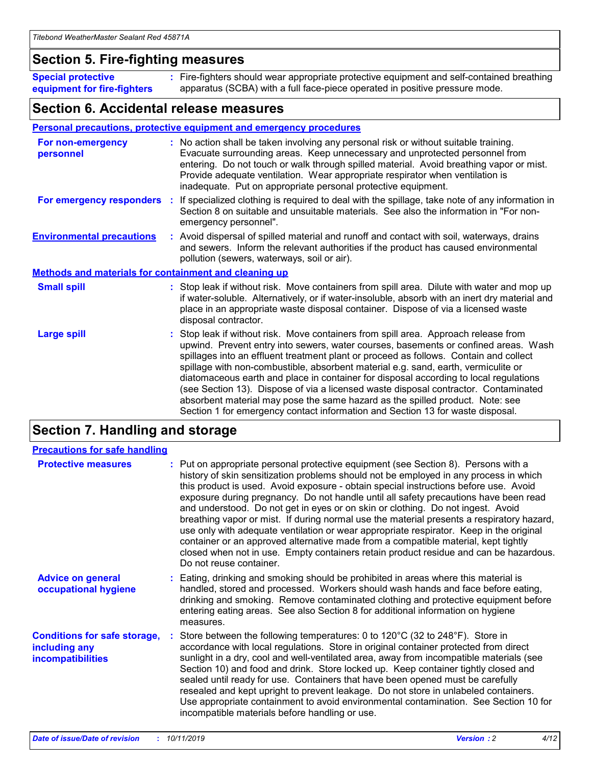### **Section 5. Fire-fighting measures**

**Special protective equipment for fire-fighters** Fire-fighters should wear appropriate protective equipment and self-contained breathing **:** apparatus (SCBA) with a full face-piece operated in positive pressure mode.

### **Section 6. Accidental release measures**

### **Personal precautions, protective equipment and emergency procedures**

| For non-emergency<br>personnel                               | : No action shall be taken involving any personal risk or without suitable training.<br>Evacuate surrounding areas. Keep unnecessary and unprotected personnel from<br>entering. Do not touch or walk through spilled material. Avoid breathing vapor or mist.<br>Provide adequate ventilation. Wear appropriate respirator when ventilation is<br>inadequate. Put on appropriate personal protective equipment.                                                                                                                                                                                                                                                                                             |
|--------------------------------------------------------------|--------------------------------------------------------------------------------------------------------------------------------------------------------------------------------------------------------------------------------------------------------------------------------------------------------------------------------------------------------------------------------------------------------------------------------------------------------------------------------------------------------------------------------------------------------------------------------------------------------------------------------------------------------------------------------------------------------------|
|                                                              | For emergency responders : If specialized clothing is required to deal with the spillage, take note of any information in<br>Section 8 on suitable and unsuitable materials. See also the information in "For non-<br>emergency personnel".                                                                                                                                                                                                                                                                                                                                                                                                                                                                  |
| <b>Environmental precautions</b>                             | : Avoid dispersal of spilled material and runoff and contact with soil, waterways, drains<br>and sewers. Inform the relevant authorities if the product has caused environmental<br>pollution (sewers, waterways, soil or air).                                                                                                                                                                                                                                                                                                                                                                                                                                                                              |
| <b>Methods and materials for containment and cleaning up</b> |                                                                                                                                                                                                                                                                                                                                                                                                                                                                                                                                                                                                                                                                                                              |
| <b>Small spill</b>                                           | : Stop leak if without risk. Move containers from spill area. Dilute with water and mop up<br>if water-soluble. Alternatively, or if water-insoluble, absorb with an inert dry material and<br>place in an appropriate waste disposal container. Dispose of via a licensed waste<br>disposal contractor.                                                                                                                                                                                                                                                                                                                                                                                                     |
| <b>Large spill</b>                                           | : Stop leak if without risk. Move containers from spill area. Approach release from<br>upwind. Prevent entry into sewers, water courses, basements or confined areas. Wash<br>spillages into an effluent treatment plant or proceed as follows. Contain and collect<br>spillage with non-combustible, absorbent material e.g. sand, earth, vermiculite or<br>diatomaceous earth and place in container for disposal according to local regulations<br>(see Section 13). Dispose of via a licensed waste disposal contractor. Contaminated<br>absorbent material may pose the same hazard as the spilled product. Note: see<br>Section 1 for emergency contact information and Section 13 for waste disposal. |

## **Section 7. Handling and storage**

| <b>Precautions for safe handling</b>                                             |                                                                                                                                                                                                                                                                                                                                                                                                                                                                                                                                                                                                                                                                                                                                                                                                                                                  |
|----------------------------------------------------------------------------------|--------------------------------------------------------------------------------------------------------------------------------------------------------------------------------------------------------------------------------------------------------------------------------------------------------------------------------------------------------------------------------------------------------------------------------------------------------------------------------------------------------------------------------------------------------------------------------------------------------------------------------------------------------------------------------------------------------------------------------------------------------------------------------------------------------------------------------------------------|
| <b>Protective measures</b>                                                       | : Put on appropriate personal protective equipment (see Section 8). Persons with a<br>history of skin sensitization problems should not be employed in any process in which<br>this product is used. Avoid exposure - obtain special instructions before use. Avoid<br>exposure during pregnancy. Do not handle until all safety precautions have been read<br>and understood. Do not get in eyes or on skin or clothing. Do not ingest. Avoid<br>breathing vapor or mist. If during normal use the material presents a respiratory hazard,<br>use only with adequate ventilation or wear appropriate respirator. Keep in the original<br>container or an approved alternative made from a compatible material, kept tightly<br>closed when not in use. Empty containers retain product residue and can be hazardous.<br>Do not reuse container. |
| <b>Advice on general</b><br>occupational hygiene                                 | : Eating, drinking and smoking should be prohibited in areas where this material is<br>handled, stored and processed. Workers should wash hands and face before eating,<br>drinking and smoking. Remove contaminated clothing and protective equipment before<br>entering eating areas. See also Section 8 for additional information on hygiene<br>measures.                                                                                                                                                                                                                                                                                                                                                                                                                                                                                    |
| <b>Conditions for safe storage,</b><br>including any<br><b>incompatibilities</b> | : Store between the following temperatures: 0 to 120 $\degree$ C (32 to 248 $\degree$ F). Store in<br>accordance with local regulations. Store in original container protected from direct<br>sunlight in a dry, cool and well-ventilated area, away from incompatible materials (see<br>Section 10) and food and drink. Store locked up. Keep container tightly closed and<br>sealed until ready for use. Containers that have been opened must be carefully<br>resealed and kept upright to prevent leakage. Do not store in unlabeled containers.<br>Use appropriate containment to avoid environmental contamination. See Section 10 for<br>incompatible materials before handling or use.                                                                                                                                                   |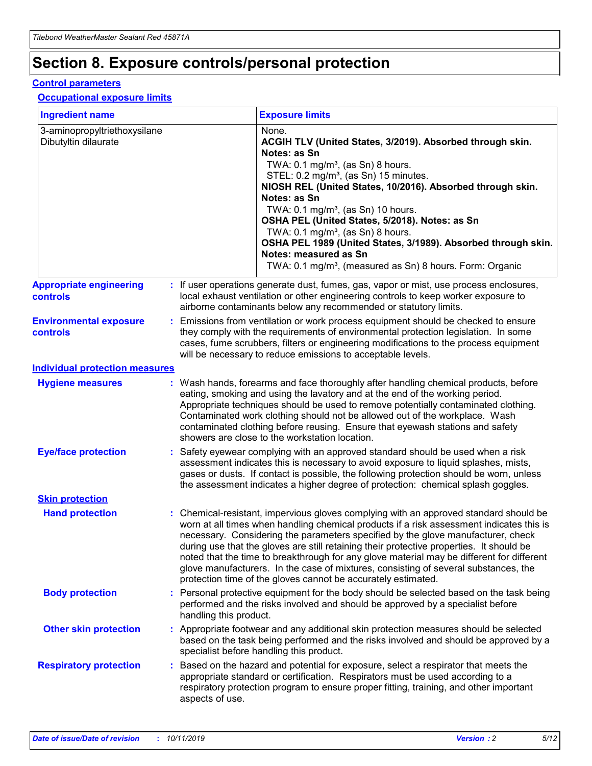## **Section 8. Exposure controls/personal protection**

### **Control parameters**

### **Occupational exposure limits**

| <b>Ingredient name</b>                               |    |                                          | <b>Exposure limits</b>                                                                                                                                                                                                                                                                                                                                                                                                                                                                                                                                                                                                 |
|------------------------------------------------------|----|------------------------------------------|------------------------------------------------------------------------------------------------------------------------------------------------------------------------------------------------------------------------------------------------------------------------------------------------------------------------------------------------------------------------------------------------------------------------------------------------------------------------------------------------------------------------------------------------------------------------------------------------------------------------|
| 3-aminopropyltriethoxysilane<br>Dibutyltin dilaurate |    |                                          | None.<br>ACGIH TLV (United States, 3/2019). Absorbed through skin.<br>Notes: as Sn<br>TWA: 0.1 mg/m <sup>3</sup> , (as Sn) 8 hours.<br>STEL: 0.2 mg/m <sup>3</sup> , (as Sn) 15 minutes.<br>NIOSH REL (United States, 10/2016). Absorbed through skin.<br>Notes: as Sn<br>TWA: 0.1 mg/m <sup>3</sup> , (as Sn) 10 hours.<br>OSHA PEL (United States, 5/2018). Notes: as Sn<br>TWA: $0.1 \text{ mg/m}^3$ , (as Sn) 8 hours.<br>OSHA PEL 1989 (United States, 3/1989). Absorbed through skin.<br>Notes: measured as Sn<br>TWA: 0.1 mg/m <sup>3</sup> , (measured as Sn) 8 hours. Form: Organic                           |
| <b>Appropriate engineering</b><br>controls           |    |                                          | : If user operations generate dust, fumes, gas, vapor or mist, use process enclosures,<br>local exhaust ventilation or other engineering controls to keep worker exposure to<br>airborne contaminants below any recommended or statutory limits.                                                                                                                                                                                                                                                                                                                                                                       |
| <b>Environmental exposure</b><br><b>controls</b>     |    |                                          | Emissions from ventilation or work process equipment should be checked to ensure<br>they comply with the requirements of environmental protection legislation. In some<br>cases, fume scrubbers, filters or engineering modifications to the process equipment<br>will be necessary to reduce emissions to acceptable levels.                                                                                                                                                                                                                                                                                          |
| <b>Individual protection measures</b>                |    |                                          |                                                                                                                                                                                                                                                                                                                                                                                                                                                                                                                                                                                                                        |
| <b>Hygiene measures</b>                              |    |                                          | : Wash hands, forearms and face thoroughly after handling chemical products, before<br>eating, smoking and using the lavatory and at the end of the working period.<br>Appropriate techniques should be used to remove potentially contaminated clothing.<br>Contaminated work clothing should not be allowed out of the workplace. Wash<br>contaminated clothing before reusing. Ensure that eyewash stations and safety<br>showers are close to the workstation location.                                                                                                                                            |
| <b>Eye/face protection</b>                           |    |                                          | : Safety eyewear complying with an approved standard should be used when a risk<br>assessment indicates this is necessary to avoid exposure to liquid splashes, mists,<br>gases or dusts. If contact is possible, the following protection should be worn, unless<br>the assessment indicates a higher degree of protection: chemical splash goggles.                                                                                                                                                                                                                                                                  |
| <b>Skin protection</b>                               |    |                                          |                                                                                                                                                                                                                                                                                                                                                                                                                                                                                                                                                                                                                        |
| <b>Hand protection</b>                               |    |                                          | : Chemical-resistant, impervious gloves complying with an approved standard should be<br>worn at all times when handling chemical products if a risk assessment indicates this is<br>necessary. Considering the parameters specified by the glove manufacturer, check<br>during use that the gloves are still retaining their protective properties. It should be<br>noted that the time to breakthrough for any glove material may be different for different<br>glove manufacturers. In the case of mixtures, consisting of several substances, the<br>protection time of the gloves cannot be accurately estimated. |
| <b>Body protection</b>                               |    | handling this product.                   | Personal protective equipment for the body should be selected based on the task being<br>performed and the risks involved and should be approved by a specialist before                                                                                                                                                                                                                                                                                                                                                                                                                                                |
| <b>Other skin protection</b>                         |    | specialist before handling this product. | : Appropriate footwear and any additional skin protection measures should be selected<br>based on the task being performed and the risks involved and should be approved by a                                                                                                                                                                                                                                                                                                                                                                                                                                          |
| <b>Respiratory protection</b>                        | ÷. | aspects of use.                          | Based on the hazard and potential for exposure, select a respirator that meets the<br>appropriate standard or certification. Respirators must be used according to a<br>respiratory protection program to ensure proper fitting, training, and other important                                                                                                                                                                                                                                                                                                                                                         |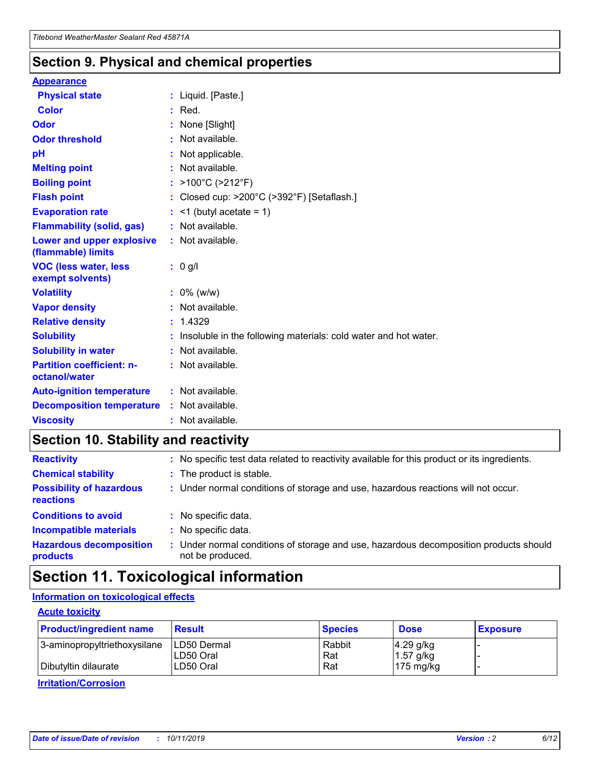### **Section 9. Physical and chemical properties**

### **Appearance**

| <b>Physical state</b>                             | : Liquid. [Paste.]                                              |
|---------------------------------------------------|-----------------------------------------------------------------|
| Color                                             | $:$ Red.                                                        |
| Odor                                              | : None [Slight]                                                 |
| <b>Odor threshold</b>                             | : Not available.                                                |
| рH                                                | : Not applicable.                                               |
| <b>Melting point</b>                              | : Not available.                                                |
| <b>Boiling point</b>                              | : >100°C (>212°F)                                               |
| <b>Flash point</b>                                | : Closed cup: $>200^{\circ}$ C ( $>392^{\circ}$ F) [Setaflash.] |
| <b>Evaporation rate</b>                           | $:$ <1 (butyl acetate = 1)                                      |
| <b>Flammability (solid, gas)</b>                  | : Not available.                                                |
| Lower and upper explosive<br>(flammable) limits   | : Not available.                                                |
| <b>VOC (less water, less</b><br>exempt solvents)  | : 0 g/l                                                         |
| <b>Volatility</b>                                 | $: 0\%$ (w/w)                                                   |
| <b>Vapor density</b>                              | : Not available.                                                |
| <b>Relative density</b>                           | : 1.4329                                                        |
| <b>Solubility</b>                                 | Insoluble in the following materials: cold water and hot water. |
| <b>Solubility in water</b>                        | : Not available.                                                |
| <b>Partition coefficient: n-</b><br>octanol/water | $:$ Not available.                                              |
| <b>Auto-ignition temperature</b>                  | : Not available.                                                |
| <b>Decomposition temperature</b>                  | : Not available.                                                |
|                                                   |                                                                 |

## **Section 10. Stability and reactivity**

| <b>Reactivity</b>                            |    | : No specific test data related to reactivity available for this product or its ingredients.            |
|----------------------------------------------|----|---------------------------------------------------------------------------------------------------------|
| <b>Chemical stability</b>                    |    | : The product is stable.                                                                                |
| <b>Possibility of hazardous</b><br>reactions |    | : Under normal conditions of storage and use, hazardous reactions will not occur.                       |
| <b>Conditions to avoid</b>                   |    | : No specific data.                                                                                     |
| <b>Incompatible materials</b>                | ٠. | No specific data.                                                                                       |
| <b>Hazardous decomposition</b><br>products   | ÷. | Under normal conditions of storage and use, hazardous decomposition products should<br>not be produced. |

## **Section 11. Toxicological information**

### **Information on toxicological effects**

### **Acute toxicity**

| <b>Product/ingredient name</b> | <b>Result</b>           | <b>Species</b> | <b>Dose</b>                | <b>Exposure</b> |
|--------------------------------|-------------------------|----------------|----------------------------|-----------------|
| 3-aminopropyltriethoxysilane   | <b>ILD50 Dermal</b>     | Rabbit         | 4.29 g/kg                  |                 |
| Dibutyltin dilaurate           | ILD50 Oral<br>LD50 Oral | Rat<br>Rat     | $1.57$ g/kg<br>175 $mg/kg$ |                 |
|                                |                         |                |                            |                 |

**Irritation/Corrosion**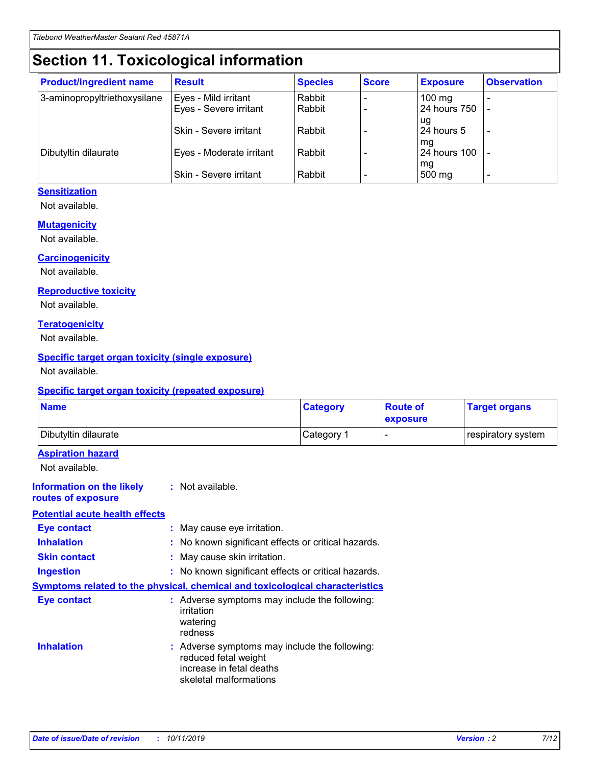## **Section 11. Toxicological information**

| <b>Product/ingredient name</b> | <b>Result</b>            | <b>Species</b> | <b>Score</b> | <b>Exposure</b>           | <b>Observation</b> |
|--------------------------------|--------------------------|----------------|--------------|---------------------------|--------------------|
| 3-aminopropyltriethoxysilane   | Eyes - Mild irritant     | Rabbit         |              | $100$ mg                  |                    |
|                                | Eyes - Severe irritant   | Rabbit         |              | 24 hours 750              |                    |
|                                |                          |                |              | ug                        |                    |
|                                | Skin - Severe irritant   | Rabbit         |              | 24 hours 5                | -                  |
| Dibutyltin dilaurate           | Eyes - Moderate irritant | Rabbit         |              | mq<br><b>24 hours 100</b> |                    |
|                                |                          |                |              | mg                        |                    |
|                                | Skin - Severe irritant   | Rabbit         |              | 500 mg                    |                    |

### **Sensitization**

Not available.

### **Mutagenicity**

Not available.

#### **Carcinogenicity**

Not available.

#### **Reproductive toxicity**

Not available.

#### **Teratogenicity**

Not available.

### **Specific target organ toxicity (single exposure)**

Not available.

#### **Specific target organ toxicity (repeated exposure)**

| <b>Name</b>                                                                  |                                                                            | <b>Category</b>                                     | <b>Route of</b><br>exposure | <b>Target organs</b> |
|------------------------------------------------------------------------------|----------------------------------------------------------------------------|-----------------------------------------------------|-----------------------------|----------------------|
| Dibutyltin dilaurate                                                         |                                                                            | Category 1                                          | -                           | respiratory system   |
| <b>Aspiration hazard</b><br>Not available.                                   |                                                                            |                                                     |                             |                      |
| <b>Information on the likely</b><br>routes of exposure                       | : Not available.                                                           |                                                     |                             |                      |
| <b>Potential acute health effects</b>                                        |                                                                            |                                                     |                             |                      |
| <b>Eye contact</b>                                                           | : May cause eye irritation.                                                |                                                     |                             |                      |
| <b>Inhalation</b>                                                            |                                                                            | : No known significant effects or critical hazards. |                             |                      |
| <b>Skin contact</b>                                                          | : May cause skin irritation.                                               |                                                     |                             |                      |
| <b>Ingestion</b>                                                             |                                                                            | : No known significant effects or critical hazards. |                             |                      |
| Symptoms related to the physical, chemical and toxicological characteristics |                                                                            |                                                     |                             |                      |
| <b>Eye contact</b>                                                           | irritation<br>watering<br>redness                                          | : Adverse symptoms may include the following:       |                             |                      |
| <b>Inhalation</b>                                                            | reduced fetal weight<br>increase in fetal deaths<br>skeletal malformations | : Adverse symptoms may include the following:       |                             |                      |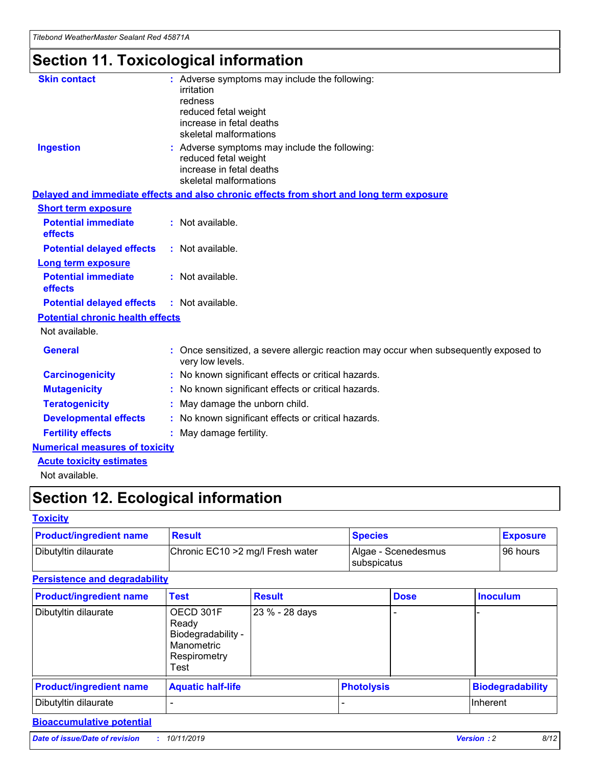## **Section 11. Toxicological information**

| <b>Skin contact</b>                     | : Adverse symptoms may include the following:<br>irritation<br>redness<br>reduced fetal weight<br>increase in fetal deaths<br>skeletal malformations |
|-----------------------------------------|------------------------------------------------------------------------------------------------------------------------------------------------------|
| <b>Ingestion</b>                        | : Adverse symptoms may include the following:<br>reduced fetal weight<br>increase in fetal deaths<br>skeletal malformations                          |
|                                         | Delayed and immediate effects and also chronic effects from short and long term exposure                                                             |
| <b>Short term exposure</b>              |                                                                                                                                                      |
| <b>Potential immediate</b><br>effects   | : Not available.                                                                                                                                     |
| <b>Potential delayed effects</b>        | : Not available.                                                                                                                                     |
| <b>Long term exposure</b>               |                                                                                                                                                      |
| <b>Potential immediate</b><br>effects   | : Not available.                                                                                                                                     |
| <b>Potential delayed effects</b>        | : Not available.                                                                                                                                     |
| <b>Potential chronic health effects</b> |                                                                                                                                                      |
| Not available.                          |                                                                                                                                                      |
| <b>General</b>                          | : Once sensitized, a severe allergic reaction may occur when subsequently exposed to<br>very low levels.                                             |
| <b>Carcinogenicity</b>                  | : No known significant effects or critical hazards.                                                                                                  |
| <b>Mutagenicity</b>                     | No known significant effects or critical hazards.                                                                                                    |
| <b>Teratogenicity</b>                   | May damage the unborn child.                                                                                                                         |
| <b>Developmental effects</b>            | No known significant effects or critical hazards.                                                                                                    |
| <b>Fertility effects</b>                | : May damage fertility.                                                                                                                              |
| <b>Numerical measures of toxicity</b>   |                                                                                                                                                      |
| <b>Acute toxicity estimates</b>         |                                                                                                                                                      |
|                                         |                                                                                                                                                      |

Not available.

## **Section 12. Ecological information**

### **Toxicity**

| <b>Product/ingredient name</b> | <b>Result</b>                     | <b>Species</b>                       | <b>Exposure</b> |
|--------------------------------|-----------------------------------|--------------------------------------|-----------------|
| Dibutyltin dilaurate           | Chronic EC10 > 2 mg/l Fresh water | Algae - Scenedesmus<br>I subspicatus | l 96 hours      |

### **Persistence and degradability**

| <b>Product/ingredient name</b> | <b>Test</b>                                                                    | <b>Result</b>  |  | <b>Dose</b>       | <b>Inoculum</b>         |
|--------------------------------|--------------------------------------------------------------------------------|----------------|--|-------------------|-------------------------|
| Dibutyltin dilaurate           | OECD 301F<br>Ready<br>Biodegradability -<br>Manometric<br>Respirometry<br>Test | 23 % - 28 days |  |                   |                         |
| <b>Product/ingredient name</b> | <b>Aquatic half-life</b>                                                       |                |  | <b>Photolysis</b> | <b>Biodegradability</b> |
| Dibutyltin dilaurate           |                                                                                |                |  |                   | Inherent                |

### **Bioaccumulative potential**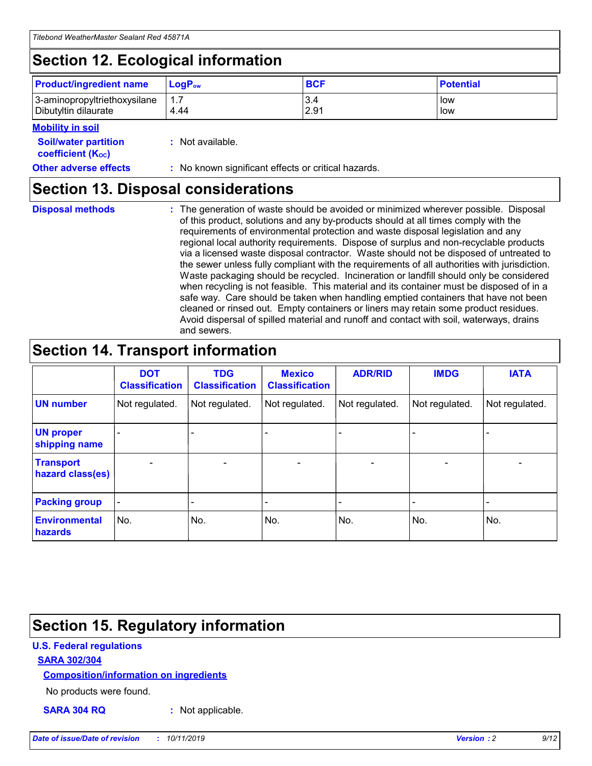## **Section 12. Ecological information**

| <b>Product/ingredient name</b> | $LoaPow$ | <b>BCF</b> | <b>Potential</b> |
|--------------------------------|----------|------------|------------------|
| 3-aminopropyltriethoxysilane   | 1.7      | 3.4        | low              |
| Dibutyltin dilaurate           | 4.44     | 2.91       | low              |

### **Mobility in soil**

| <i></i>                                                       |                                                     |
|---------------------------------------------------------------|-----------------------------------------------------|
| <b>Soil/water partition</b><br>coefficient (K <sub>oc</sub> ) | : Not available.                                    |
| <b>Other adverse effects</b>                                  | : No known significant effects or critical hazards. |

### **Section 13. Disposal considerations**

**Disposal methods :**

The generation of waste should be avoided or minimized wherever possible. Disposal of this product, solutions and any by-products should at all times comply with the requirements of environmental protection and waste disposal legislation and any regional local authority requirements. Dispose of surplus and non-recyclable products via a licensed waste disposal contractor. Waste should not be disposed of untreated to the sewer unless fully compliant with the requirements of all authorities with jurisdiction. Waste packaging should be recycled. Incineration or landfill should only be considered when recycling is not feasible. This material and its container must be disposed of in a safe way. Care should be taken when handling emptied containers that have not been cleaned or rinsed out. Empty containers or liners may retain some product residues. Avoid dispersal of spilled material and runoff and contact with soil, waterways, drains and sewers.

## **Section 14. Transport information**

|                                      | <b>DOT</b><br><b>Classification</b> | <b>TDG</b><br><b>Classification</b> | <b>Mexico</b><br><b>Classification</b> | <b>ADR/RID</b>           | <b>IMDG</b>              | <b>IATA</b>              |
|--------------------------------------|-------------------------------------|-------------------------------------|----------------------------------------|--------------------------|--------------------------|--------------------------|
| <b>UN number</b>                     | Not regulated.                      | Not regulated.                      | Not regulated.                         | Not regulated.           | Not regulated.           | Not regulated.           |
| <b>UN proper</b><br>shipping name    | $\qquad \qquad \blacksquare$        |                                     |                                        |                          |                          |                          |
| <b>Transport</b><br>hazard class(es) | $\blacksquare$                      | $\blacksquare$                      | $\blacksquare$                         | $\overline{\phantom{a}}$ | $\blacksquare$           | $\blacksquare$           |
| <b>Packing group</b>                 | $\overline{\phantom{a}}$            | $\overline{\phantom{0}}$            | $\qquad \qquad \blacksquare$           | -                        | $\overline{\phantom{0}}$ | $\overline{\phantom{a}}$ |
| <b>Environmental</b><br>hazards      | No.                                 | No.                                 | No.                                    | No.                      | No.                      | No.                      |

## **Section 15. Regulatory information**

### **U.S. Federal regulations**

### **SARA 302/304**

### **Composition/information on ingredients**

No products were found.

**SARA 304 RQ :** Not applicable.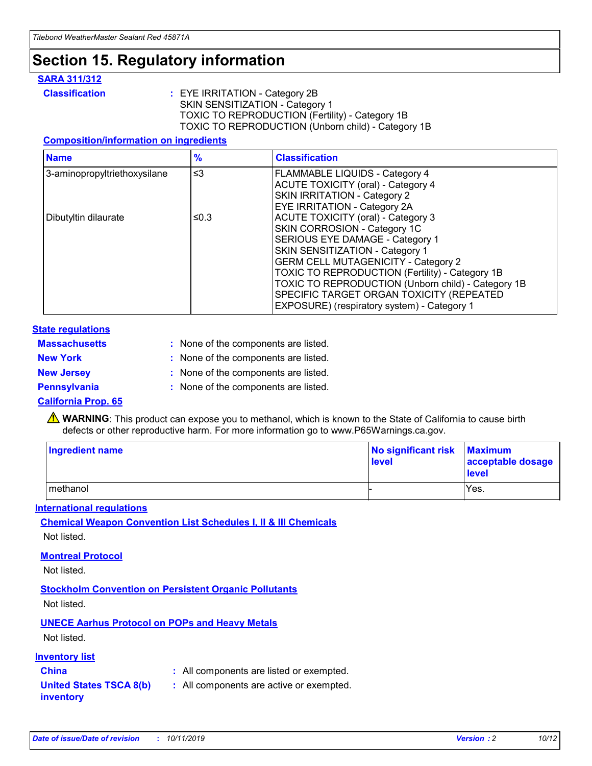## **Section 15. Regulatory information**

### **SARA 311/312**

**Classification :** EYE IRRITATION - Category 2B SKIN SENSITIZATION - Category 1 TOXIC TO REPRODUCTION (Fertility) - Category 1B TOXIC TO REPRODUCTION (Unborn child) - Category 1B

### **Composition/information on ingredients**

| <b>Name</b>                  | $\frac{9}{6}$ | <b>Classification</b>                                                                                            |
|------------------------------|---------------|------------------------------------------------------------------------------------------------------------------|
| 3-aminopropyltriethoxysilane | $\leq$ 3      | <b>FLAMMABLE LIQUIDS - Category 4</b><br><b>ACUTE TOXICITY (oral) - Category 4</b>                               |
|                              |               | SKIN IRRITATION - Category 2<br>EYE IRRITATION - Category 2A                                                     |
| Dibutyltin dilaurate         | ≤0.3          | ACUTE TOXICITY (oral) - Category 3<br>SKIN CORROSION - Category 1C                                               |
|                              |               | SERIOUS EYE DAMAGE - Category 1<br>SKIN SENSITIZATION - Category 1<br><b>GERM CELL MUTAGENICITY - Category 2</b> |
|                              |               | TOXIC TO REPRODUCTION (Fertility) - Category 1B<br>TOXIC TO REPRODUCTION (Unborn child) - Category 1B            |
|                              |               | SPECIFIC TARGET ORGAN TOXICITY (REPEATED<br>EXPOSURE) (respiratory system) - Category 1                          |

### **State regulations**

| <b>Massachusetts</b> | : None of the components are listed. |
|----------------------|--------------------------------------|
| <b>New York</b>      | : None of the components are listed. |
| <b>New Jersey</b>    | : None of the components are listed. |
| <b>Pennsylvania</b>  | : None of the components are listed. |

### **California Prop. 65**

**A** WARNING: This product can expose you to methanol, which is known to the State of California to cause birth defects or other reproductive harm. For more information go to www.P65Warnings.ca.gov.

| <b>Ingredient name</b> | No significant risk Maximum<br>level | acceptable dosage<br>level |
|------------------------|--------------------------------------|----------------------------|
| methanol               |                                      | Yes.                       |

### **International regulations**

**Chemical Weapon Convention List Schedules I, II & III Chemicals** Not listed.

### **Montreal Protocol**

Not listed.

**Stockholm Convention on Persistent Organic Pollutants**

Not listed.

### **UNECE Aarhus Protocol on POPs and Heavy Metals**

Not listed.

### **Inventory list**

### **China :** All components are listed or exempted.

**United States TSCA 8(b) inventory :** All components are active or exempted.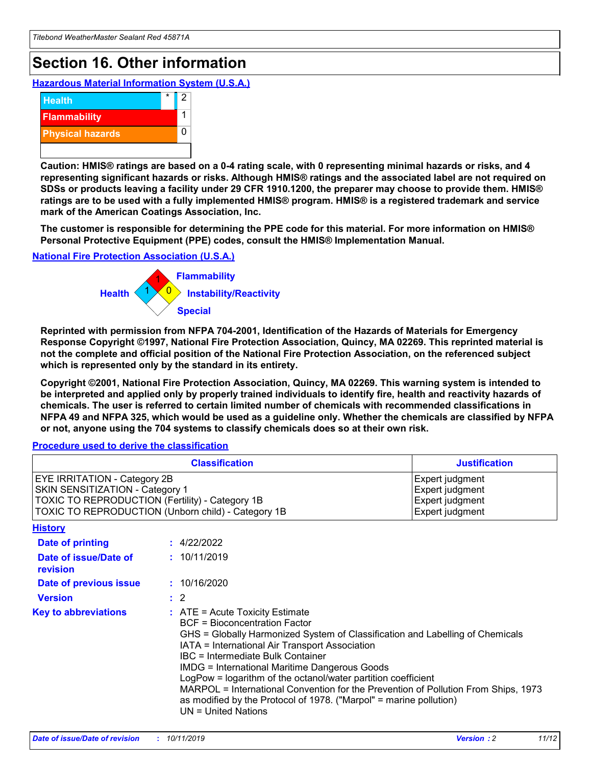## **Section 16. Other information**

**Hazardous Material Information System (U.S.A.)**



**Caution: HMIS® ratings are based on a 0-4 rating scale, with 0 representing minimal hazards or risks, and 4 representing significant hazards or risks. Although HMIS® ratings and the associated label are not required on SDSs or products leaving a facility under 29 CFR 1910.1200, the preparer may choose to provide them. HMIS® ratings are to be used with a fully implemented HMIS® program. HMIS® is a registered trademark and service mark of the American Coatings Association, Inc.**

**The customer is responsible for determining the PPE code for this material. For more information on HMIS® Personal Protective Equipment (PPE) codes, consult the HMIS® Implementation Manual.**

### **National Fire Protection Association (U.S.A.)**



**Reprinted with permission from NFPA 704-2001, Identification of the Hazards of Materials for Emergency Response Copyright ©1997, National Fire Protection Association, Quincy, MA 02269. This reprinted material is not the complete and official position of the National Fire Protection Association, on the referenced subject which is represented only by the standard in its entirety.**

**Copyright ©2001, National Fire Protection Association, Quincy, MA 02269. This warning system is intended to be interpreted and applied only by properly trained individuals to identify fire, health and reactivity hazards of chemicals. The user is referred to certain limited number of chemicals with recommended classifications in NFPA 49 and NFPA 325, which would be used as a guideline only. Whether the chemicals are classified by NFPA or not, anyone using the 704 systems to classify chemicals does so at their own risk.**

**Procedure used to derive the classification**

| <b>Classification</b>                                                                                                                                                    |                                                                                                                                                  | <b>Justification</b>                                                                                                                                                                                                                                                                                                                                                                                                 |  |
|--------------------------------------------------------------------------------------------------------------------------------------------------------------------------|--------------------------------------------------------------------------------------------------------------------------------------------------|----------------------------------------------------------------------------------------------------------------------------------------------------------------------------------------------------------------------------------------------------------------------------------------------------------------------------------------------------------------------------------------------------------------------|--|
| EYE IRRITATION - Category 2B<br>SKIN SENSITIZATION - Category 1<br>TOXIC TO REPRODUCTION (Fertility) - Category 1B<br>TOXIC TO REPRODUCTION (Unborn child) - Category 1B |                                                                                                                                                  | Expert judgment<br>Expert judgment<br>Expert judgment<br>Expert judgment                                                                                                                                                                                                                                                                                                                                             |  |
| <b>History</b>                                                                                                                                                           |                                                                                                                                                  |                                                                                                                                                                                                                                                                                                                                                                                                                      |  |
| Date of printing                                                                                                                                                         | : 4/22/2022                                                                                                                                      |                                                                                                                                                                                                                                                                                                                                                                                                                      |  |
| Date of issue/Date of<br>revision                                                                                                                                        | : 10/11/2019                                                                                                                                     |                                                                                                                                                                                                                                                                                                                                                                                                                      |  |
| Date of previous issue                                                                                                                                                   | : 10/16/2020                                                                                                                                     |                                                                                                                                                                                                                                                                                                                                                                                                                      |  |
| <b>Version</b>                                                                                                                                                           | $\therefore$ 2                                                                                                                                   |                                                                                                                                                                                                                                                                                                                                                                                                                      |  |
| <b>Key to abbreviations</b>                                                                                                                                              | $\therefore$ ATE = Acute Toxicity Estimate<br><b>BCF</b> = Bioconcentration Factor<br>IBC = Intermediate Bulk Container<br>$UN = United Nations$ | GHS = Globally Harmonized System of Classification and Labelling of Chemicals<br>IATA = International Air Transport Association<br><b>IMDG = International Maritime Dangerous Goods</b><br>LogPow = logarithm of the octanol/water partition coefficient<br>MARPOL = International Convention for the Prevention of Pollution From Ships, 1973<br>as modified by the Protocol of 1978. ("Marpol" = marine pollution) |  |